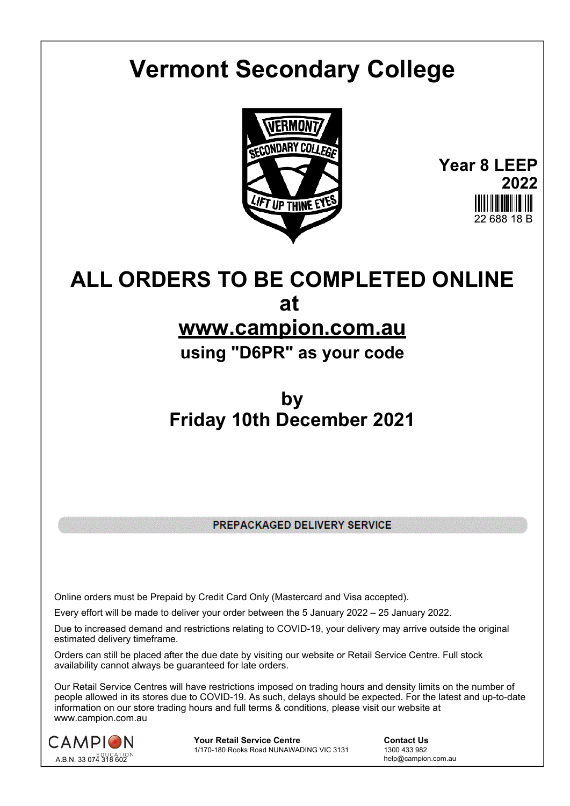## **Vermont Secondary College**



**Year 8 LEEP 2022** 22 688 18 B

## **ALL ORDERS TO BE COMPLETED ONLINE at**

## **www.campion.com.au**

**using "D6PR" as your code**

## **by Friday 10th December 2021**

PREPACKAGED DELIVERY SERVICE

Online orders must be Prepaid by Credit Card Only (Mastercard and Visa accepted).

Every effort will be made to deliver your order between the 5 January 2022 – 25 January 2022.

Due to increased demand and restrictions relating to COVID-19, your delivery may arrive outside the original estimated delivery timeframe.

Orders can still be placed after the due date by visiting our website or Retail Service Centre. Full stock availability cannot always be guaranteed for late orders.

Our Retail Service Centres will have restrictions imposed on trading hours and density limits on the number of people allowed in its stores due to COVID-19. As such, delays should be expected. For the latest and up-to-date information on our store trading hours and full terms & conditions, please visit our website at www.campion.com.au



**Your Retail Service Centre**  Contact Us<br>1/170-180 Rooks Road NUNAWADING VIC 3131 1300 433 982 1/170-180 Rooks Road NUNAWADING VIC 3131

help@campion.com.au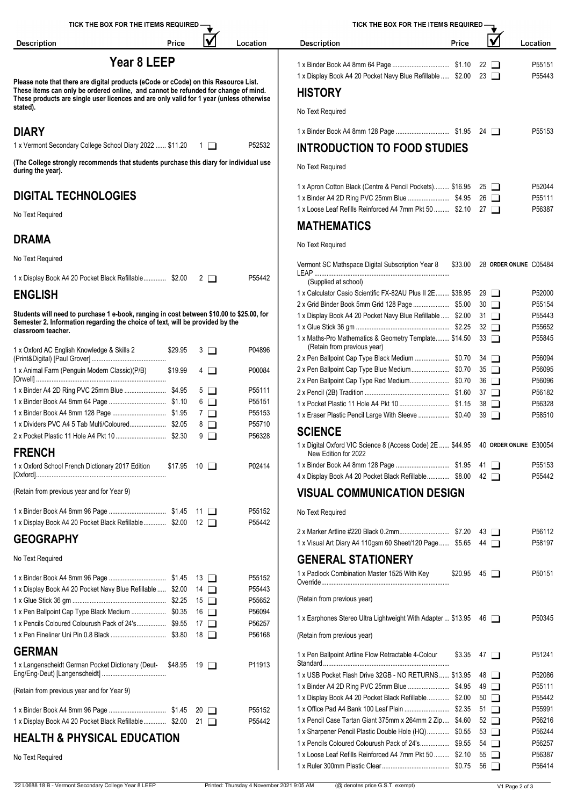| TICK THE BOX FOR THE ITEMS REQUIRED                                                                                                                                                                                                                                                             |         |                       |                                                                                                     | TICK THE BOX FOR THE ITEMS REQUIRED -                                                                                                                                       |       |                         |                            |  |
|-------------------------------------------------------------------------------------------------------------------------------------------------------------------------------------------------------------------------------------------------------------------------------------------------|---------|-----------------------|-----------------------------------------------------------------------------------------------------|-----------------------------------------------------------------------------------------------------------------------------------------------------------------------------|-------|-------------------------|----------------------------|--|
| <b>Description</b>                                                                                                                                                                                                                                                                              | Price   | V                     | Location                                                                                            | <b>Description</b>                                                                                                                                                          | Price | $\overline{\mathsf{v}}$ | Location                   |  |
| Year 8 LEEP<br>Please note that there are digital products (eCode or cCode) on this Resource List.<br>These items can only be ordered online, and cannot be refunded for change of mind.<br>These products are single user licences and are only valid for 1 year (unless otherwise<br>stated). |         |                       | 1 x Display Book A4 20 Pocket Navy Blue Refillable  \$2.00 23<br><b>HISTORY</b><br>No Text Required |                                                                                                                                                                             |       | P55151<br>P55443        |                            |  |
| <b>DIARY</b>                                                                                                                                                                                                                                                                                    |         |                       |                                                                                                     |                                                                                                                                                                             |       |                         | P55153                     |  |
| 1 x Vermont Secondary College School Diary 2022  \$11.20 1                                                                                                                                                                                                                                      |         |                       | P52532                                                                                              | <b>INTRODUCTION TO FOOD STUDIES</b>                                                                                                                                         |       |                         |                            |  |
| (The College strongly recommends that students purchase this diary for individual use<br>during the year).                                                                                                                                                                                      |         |                       |                                                                                                     | No Text Required                                                                                                                                                            |       |                         |                            |  |
| <b>DIGITAL TECHNOLOGIES</b>                                                                                                                                                                                                                                                                     |         |                       |                                                                                                     | 1 x Apron Cotton Black (Centre & Pencil Pockets) \$16.95 25<br>1 x Binder A4 2D Ring PVC 25mm Blue  \$4.95 26<br>1 x Loose Leaf Refills Reinforced A4 7mm Pkt 50  \$2.10 27 |       |                         | P52044<br>P55111<br>P56387 |  |
| No Text Required                                                                                                                                                                                                                                                                                |         |                       |                                                                                                     | <b>MATHEMATICS</b>                                                                                                                                                          |       |                         |                            |  |
| <b>DRAMA</b>                                                                                                                                                                                                                                                                                    |         |                       |                                                                                                     | No Text Required                                                                                                                                                            |       |                         |                            |  |
| No Text Required                                                                                                                                                                                                                                                                                |         |                       |                                                                                                     | Vermont SC Mathspace Digital Subscription Year 8 \$33.00 28 ORDER ONLINE C05484                                                                                             |       |                         |                            |  |
| 1 x Display Book A4 20 Pocket Black Refillable \$2.00 2                                                                                                                                                                                                                                         |         |                       | P55442                                                                                              | (Supplied at school)                                                                                                                                                        |       |                         |                            |  |
| <b>ENGLISH</b>                                                                                                                                                                                                                                                                                  |         |                       |                                                                                                     | 1 x Calculator Casio Scientific FX-82AU Plus II 2E \$38.95 29                                                                                                               |       |                         | P52000                     |  |
| Students will need to purchase 1 e-book, ranging in cost between \$10.00 to \$25.00, for                                                                                                                                                                                                        |         |                       |                                                                                                     | 2 x Grid Binder Book 5mm Grid 128 Page  \$5.00 30<br>1 x Display Book A4 20 Pocket Navy Blue Refillable  \$2.00 31                                                          |       |                         | P55154<br>P55443           |  |
| Semester 2. Information regarding the choice of text, will be provided by the                                                                                                                                                                                                                   |         |                       |                                                                                                     |                                                                                                                                                                             |       |                         | P55652                     |  |
| classroom teacher.<br>1 x Oxford AC English Knowledge & Skills 2                                                                                                                                                                                                                                | \$29.95 | $3$ $\Box$            | P04896                                                                                              | 1 x Maths-Pro Mathematics & Geometry Template \$14.50 33<br>(Retain from previous year)                                                                                     |       |                         | P55845                     |  |
|                                                                                                                                                                                                                                                                                                 |         |                       |                                                                                                     |                                                                                                                                                                             |       |                         | P56094                     |  |
| 1 x Animal Farm (Penguin Modern Classic)(P/B)                                                                                                                                                                                                                                                   | \$19.99 | $4\Box$               | P00084                                                                                              |                                                                                                                                                                             |       |                         | P56095                     |  |
|                                                                                                                                                                                                                                                                                                 |         |                       |                                                                                                     |                                                                                                                                                                             |       |                         | P56096                     |  |
|                                                                                                                                                                                                                                                                                                 |         | $5\Box$<br>$6$ $\Box$ | P55111<br>P55151                                                                                    |                                                                                                                                                                             |       |                         | P56182                     |  |
|                                                                                                                                                                                                                                                                                                 |         | $7\Box$               | P55153                                                                                              |                                                                                                                                                                             |       |                         | P56328                     |  |
|                                                                                                                                                                                                                                                                                                 |         | 8 □                   | P55710                                                                                              | 1 x Eraser Plastic Pencil Large With Sleeve  \$0.40 39                                                                                                                      |       |                         | P58510                     |  |
|                                                                                                                                                                                                                                                                                                 |         | 9 □                   | P56328                                                                                              | <b>SCIENCE</b>                                                                                                                                                              |       |                         |                            |  |
| <b>FRENCH</b>                                                                                                                                                                                                                                                                                   |         |                       |                                                                                                     | 1 x Digital Oxford VIC Science 8 (Access Code) 2E  \$44.95 40 ORDER ONLINE E30054<br>New Edition for 2022                                                                   |       |                         |                            |  |
| 1 x Oxford School French Dictionary 2017 Edition \$17.95 10                                                                                                                                                                                                                                     |         |                       | P02414                                                                                              | 4 x Display Book A4 20 Pocket Black Refillable \$8.00 42                                                                                                                    |       |                         | P55153<br>P55442           |  |
| (Retain from previous year and for Year 9)                                                                                                                                                                                                                                                      |         |                       |                                                                                                     | <b>VISUAL COMMUNICATION DESIGN</b>                                                                                                                                          |       |                         |                            |  |
|                                                                                                                                                                                                                                                                                                 |         |                       | P55152                                                                                              | No Text Required                                                                                                                                                            |       |                         |                            |  |
| 1 x Display Book A4 20 Pocket Black Refillable \$2.00 12                                                                                                                                                                                                                                        |         |                       | P55442                                                                                              |                                                                                                                                                                             |       |                         |                            |  |
| <b>GEOGRAPHY</b>                                                                                                                                                                                                                                                                                |         |                       |                                                                                                     |                                                                                                                                                                             |       |                         | P56112                     |  |
|                                                                                                                                                                                                                                                                                                 |         |                       |                                                                                                     | 1 x Visual Art Diary A4 110gsm 60 Sheet/120 Page  \$5.65 44                                                                                                                 |       |                         | P58197                     |  |
| No Text Required                                                                                                                                                                                                                                                                                |         |                       |                                                                                                     | <b>GENERAL STATIONERY</b>                                                                                                                                                   |       |                         |                            |  |
|                                                                                                                                                                                                                                                                                                 |         |                       | P55152                                                                                              | 1 x Padlock Combination Master 1525 With Key                                                                                                                                |       | $$20.95$ 45 $\Box$      | P50151                     |  |
| 1 x Display Book A4 20 Pocket Navy Blue Refillable  \$2.00 14                                                                                                                                                                                                                                   |         |                       | P55443                                                                                              |                                                                                                                                                                             |       |                         |                            |  |
|                                                                                                                                                                                                                                                                                                 |         |                       | P55652                                                                                              | (Retain from previous year)                                                                                                                                                 |       |                         |                            |  |
| 1 x Pen Ballpoint Cap Type Black Medium  \$0.35 16                                                                                                                                                                                                                                              |         |                       | P56094                                                                                              | 1 x Earphones Stereo Ultra Lightweight With Adapter  \$13.95 46                                                                                                             |       |                         | P50345                     |  |
| 1 x Pencils Coloured Colourush Pack of 24's \$9.55 17                                                                                                                                                                                                                                           |         |                       | P56257                                                                                              |                                                                                                                                                                             |       |                         |                            |  |
|                                                                                                                                                                                                                                                                                                 |         |                       | P56168                                                                                              | (Retain from previous year)                                                                                                                                                 |       |                         |                            |  |
| <b>GERMAN</b><br>1 x Langenscheidt German Pocket Dictionary (Deut- \$48.95 19                                                                                                                                                                                                                   |         |                       | P11913                                                                                              | 1 x Pen Ballpoint Artline Flow Retractable 4-Colour                                                                                                                         |       | $$3.35$ 47 $\Box$       | P51241                     |  |
|                                                                                                                                                                                                                                                                                                 |         |                       |                                                                                                     | 1 x USB Pocket Flash Drive 32GB - NO RETURNS \$13.95 48                                                                                                                     |       |                         | P52086                     |  |
| (Retain from previous year and for Year 9)                                                                                                                                                                                                                                                      |         |                       |                                                                                                     |                                                                                                                                                                             |       |                         | P55111                     |  |
|                                                                                                                                                                                                                                                                                                 |         |                       | P55152                                                                                              | 1 x Display Book A4 20 Pocket Black Refillable \$2.00 50                                                                                                                    |       |                         | P55442<br>P55991           |  |
| 1 x Display Book A4 20 Pocket Black Refillable \$2.00 21                                                                                                                                                                                                                                        |         |                       | P55442                                                                                              | 1 x Pencil Case Tartan Giant 375mm x 264mm 2 Zip \$4.60 52                                                                                                                  |       |                         | P56216                     |  |
|                                                                                                                                                                                                                                                                                                 |         |                       |                                                                                                     | 1 x Sharpener Pencil Plastic Double Hole (HQ) \$0.55 53                                                                                                                     |       |                         | P56244                     |  |
| <b>HEALTH &amp; PHYSICAL EDUCATION</b>                                                                                                                                                                                                                                                          |         |                       |                                                                                                     | 1 x Pencils Coloured Colourush Pack of 24's \$9.55 54                                                                                                                       |       |                         | P56257                     |  |
| No Text Required                                                                                                                                                                                                                                                                                |         |                       |                                                                                                     | 1 x Loose Leaf Refills Reinforced A4 7mm Pkt 50  \$2.10 55                                                                                                                  |       |                         | P56387                     |  |
|                                                                                                                                                                                                                                                                                                 |         |                       |                                                                                                     |                                                                                                                                                                             |       |                         | P56414                     |  |